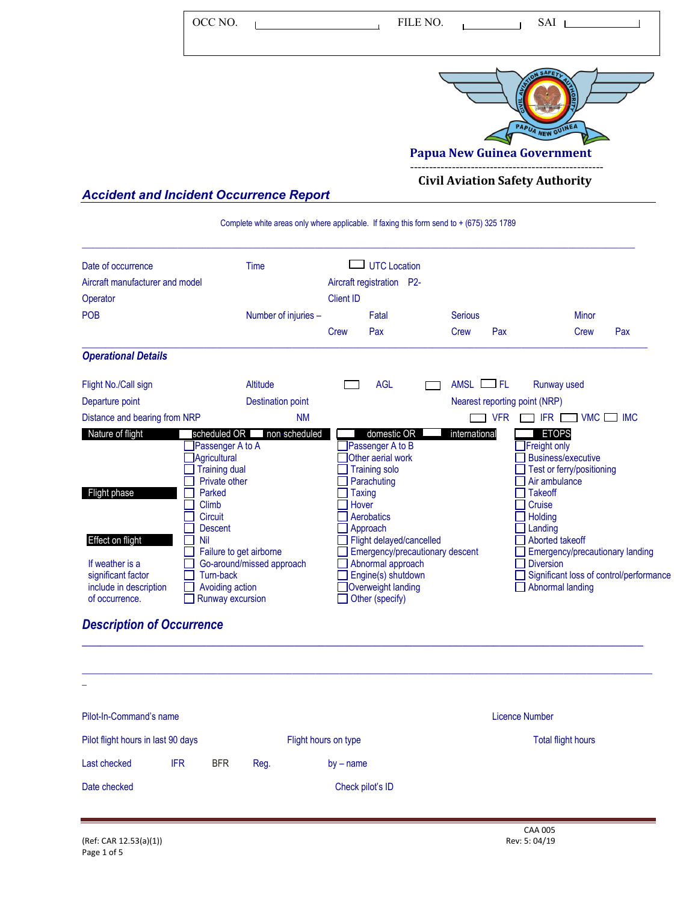| OCC NO.                                        | FILE NO.<br>SAI                                        |
|------------------------------------------------|--------------------------------------------------------|
|                                                | PAPUA NEW GUINEA<br><b>Papua New Guinea Government</b> |
|                                                | <b>Civil Aviation Safety Authority</b>                 |
| <b>Accident and Incident Occurrence Report</b> |                                                        |

## *Accident and Incident Occurrence Report*

Complete white areas only where applicable. If faxing this form send to + (675) 325 1789

| Number of injuries -<br>Altitude | <b>Client ID</b><br>Crew                                                                                                                                                                                                          | Aircraft registration P2-<br>Fatal<br>Pax | Serious<br>Crew                                                                                                                                                                                                              | Pax                      | <b>Minor</b><br>Pax<br>Crew                                                                                                                                                                                                                                             |
|----------------------------------|-----------------------------------------------------------------------------------------------------------------------------------------------------------------------------------------------------------------------------------|-------------------------------------------|------------------------------------------------------------------------------------------------------------------------------------------------------------------------------------------------------------------------------|--------------------------|-------------------------------------------------------------------------------------------------------------------------------------------------------------------------------------------------------------------------------------------------------------------------|
|                                  |                                                                                                                                                                                                                                   |                                           |                                                                                                                                                                                                                              |                          |                                                                                                                                                                                                                                                                         |
|                                  |                                                                                                                                                                                                                                   |                                           |                                                                                                                                                                                                                              |                          |                                                                                                                                                                                                                                                                         |
|                                  |                                                                                                                                                                                                                                   |                                           |                                                                                                                                                                                                                              |                          |                                                                                                                                                                                                                                                                         |
|                                  |                                                                                                                                                                                                                                   |                                           |                                                                                                                                                                                                                              |                          |                                                                                                                                                                                                                                                                         |
|                                  |                                                                                                                                                                                                                                   | <b>AGL</b>                                | AMSL                                                                                                                                                                                                                         | <b>FL</b>                | Runway used                                                                                                                                                                                                                                                             |
| <b>Destination point</b>         |                                                                                                                                                                                                                                   |                                           |                                                                                                                                                                                                                              |                          | Nearest reporting point (NRP)                                                                                                                                                                                                                                           |
| <b>NM</b>                        |                                                                                                                                                                                                                                   |                                           |                                                                                                                                                                                                                              | <b>VFR</b>               | <b>VMC</b><br><b>IFR</b><br><b>IMC</b>                                                                                                                                                                                                                                  |
|                                  |                                                                                                                                                                                                                                   |                                           |                                                                                                                                                                                                                              |                          | <b>ETOPS</b><br>Freight only<br>Business/executive<br>Test or ferry/positioning<br>Air ambulance<br><b>Takeoff</b><br>Cruise<br>Holding<br>Landing<br>Aborted takeoff<br>Emergency/precautionary landing<br><b>Diversion</b><br>Significant loss of control/performance |
|                                  |                                                                                                                                                                                                                                   |                                           |                                                                                                                                                                                                                              |                          | Abnormal landing                                                                                                                                                                                                                                                        |
| Circuit                          | scheduled OR<br>Passenger A to A<br>Agricultural<br><b>Training dual</b><br>Private other<br>Parked<br><b>Descent</b><br>Failure to get airborne<br>Go-around/missed approach<br>Turn-back<br>Avoiding action<br>Runway excursion | non-scheduled                             | domestic OR<br>Passenger A to B<br>Other aerial work<br><b>Training solo</b><br>Parachuting<br>Taxing<br>Hover<br>Aerobatics<br>Approach<br>Abnormal approach<br>Engine(s) shutdown<br>Overweight landing<br>Other (specify) | Flight delayed/cancelled | international<br>Emergency/precautionary descent                                                                                                                                                                                                                        |

| Pilot-In-Command's name          |            |                                    |             | <b>Licence Number</b>     |
|----------------------------------|------------|------------------------------------|-------------|---------------------------|
|                                  |            |                                    |             | <b>Total flight hours</b> |
| <b>IFR</b>                       | <b>BFR</b> | Reg.                               | $by - name$ |                           |
| Check pilot's ID<br>Date checked |            |                                    |             |                           |
|                                  |            |                                    |             |                           |
|                                  |            | Pilot flight hours in last 90 days |             | Flight hours on type      |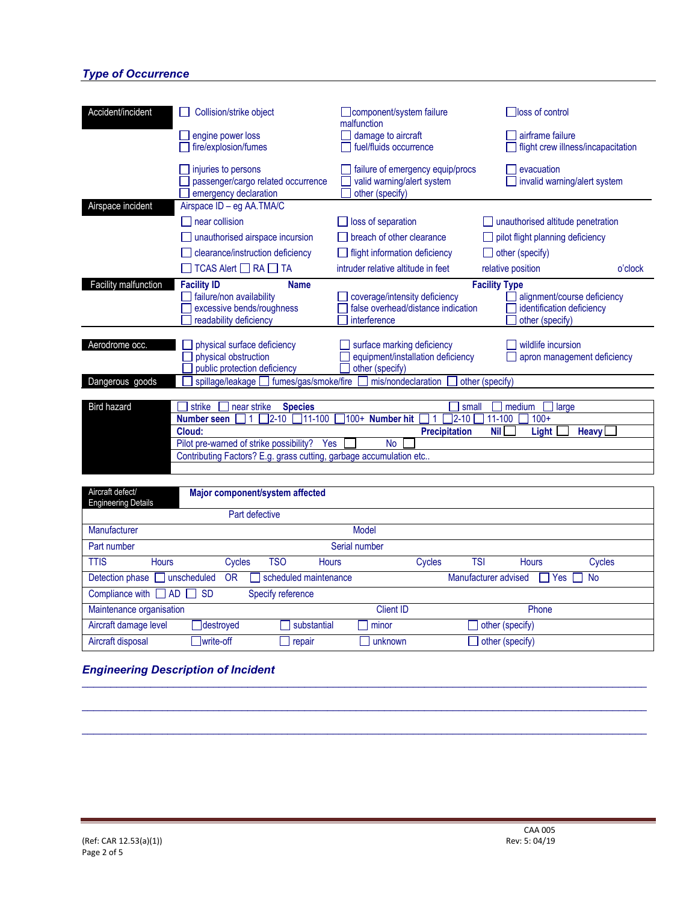## *Type of Occurrence*

| Accident/incident    | <b>Collision/strike object</b><br>engine power loss<br>fire/explosion/fumes                                                                                                                                    | component/system failure<br>malfunction<br>damage to aircraft<br>fuel/fluids occurrence                                | loss of control<br>airframe failure<br>flight crew illness/incapacitation                                                |
|----------------------|----------------------------------------------------------------------------------------------------------------------------------------------------------------------------------------------------------------|------------------------------------------------------------------------------------------------------------------------|--------------------------------------------------------------------------------------------------------------------------|
|                      | injuries to persons<br>passenger/cargo related occurrence<br>emergency declaration                                                                                                                             | failure of emergency equip/procs<br>valid warning/alert system<br>other (specify)                                      | evacuation<br>invalid warning/alert system                                                                               |
| Airspace incident    | Airspace ID - eg AA.TMA/C<br>near collision<br>unauthorised airspace incursion<br>clearance/instruction deficiency<br>$TCAS$ Alert $\Box$ RA $\Box$ TA                                                         | loss of separation<br>breach of other clearance<br>flight information deficiency<br>intruder relative altitude in feet | unauthorised altitude penetration<br>pilot flight planning deficiency<br>other (specify)<br>relative position<br>o'clock |
| Facility malfunction | <b>Facility ID</b><br><b>Name</b><br>failure/non availability<br>excessive bends/roughness<br>readability deficiency                                                                                           | coverage/intensity deficiency<br>false overhead/distance indication<br>interference                                    | <b>Facility Type</b><br>alignment/course deficiency<br>identification deficiency<br>other (specify)                      |
| Aerodrome occ.       | physical surface deficiency<br>physical obstruction<br>public protection deficiency                                                                                                                            | surface marking deficiency<br>equipment/installation deficiency<br>other (specify)                                     | wildlife incursion<br>apron management deficiency                                                                        |
| Dangerous goods      | spillage/leakage<br>fumes/gas/smoke/fire                                                                                                                                                                       | mis/nondeclaration                                                                                                     | other (specify)                                                                                                          |
| <b>Bird hazard</b>   | strike<br>near strike<br><b>Species</b><br>11-100<br>$2 - 10$<br>Number seen<br>Cloud:<br>Pilot pre-warned of strike possibility?<br>Yes<br>Contributing Factors? E.g. grass cutting, garbage accumulation etc | small<br>100+ Number hit<br>$2 - 10$<br><b>Precipitation</b><br><b>No</b>                                              | medium<br>large<br>11-100<br>$100+$<br><b>Nil</b><br><b>Heavy</b><br>Light                                               |

| Aircraft defect/<br><b>Engineering Details</b> |           | Major component/system affected |                  |        |                      |                 |           |
|------------------------------------------------|-----------|---------------------------------|------------------|--------|----------------------|-----------------|-----------|
|                                                |           | Part defective                  |                  |        |                      |                 |           |
| Manufacturer                                   |           |                                 | <b>Model</b>     |        |                      |                 |           |
| Part number                                    |           |                                 | Serial number    |        |                      |                 |           |
| <b>TTIS</b><br><b>Hours</b>                    | Cycles    | TSO                             | <b>Hours</b>     | Cycles | <b>TSI</b>           | <b>Hours</b>    | Cycles    |
| Detection phase and unscheduled                | <b>OR</b> | scheduled maintenance           |                  |        | Manufacturer advised | Yes  <br>H      | $\Box$ No |
| Compliance with $\Box$ AD $\Box$ SD            |           | Specify reference               |                  |        |                      |                 |           |
| Maintenance organisation                       |           |                                 | <b>Client ID</b> |        |                      | Phone           |           |
| Aircraft damage level                          | destroyed | substantial                     | minor            |        |                      | other (specify) |           |
| Aircraft disposal                              | write-off | repair                          | unknown          |        |                      | other (specify) |           |

\_\_\_\_\_\_\_\_\_\_\_\_\_\_\_\_\_\_\_\_\_\_\_\_\_\_\_\_\_\_\_\_\_\_\_\_\_\_\_\_\_\_\_\_\_\_\_\_\_\_\_\_\_\_\_\_\_\_\_\_\_\_\_\_\_\_\_\_\_\_\_\_\_\_\_\_\_\_\_\_\_\_\_\_\_\_\_\_\_\_\_\_\_\_\_\_\_\_\_

\_\_\_\_\_\_\_\_\_\_\_\_\_\_\_\_\_\_\_\_\_\_\_\_\_\_\_\_\_\_\_\_\_\_\_\_\_\_\_\_\_\_\_\_\_\_\_\_\_\_\_\_\_\_\_\_\_\_\_\_\_\_\_\_\_\_\_\_\_\_\_\_\_\_\_\_\_\_\_\_\_\_\_\_\_\_\_\_\_\_\_\_\_\_\_\_\_\_\_

\_\_\_\_\_\_\_\_\_\_\_\_\_\_\_\_\_\_\_\_\_\_\_\_\_\_\_\_\_\_\_\_\_\_\_\_\_\_\_\_\_\_\_\_\_\_\_\_\_\_\_\_\_\_\_\_\_\_\_\_\_\_\_\_\_\_\_\_\_\_\_\_\_\_\_\_\_\_\_\_\_\_\_\_\_\_\_\_\_\_\_\_\_\_\_\_\_\_\_

## *Engineering Description of Incident*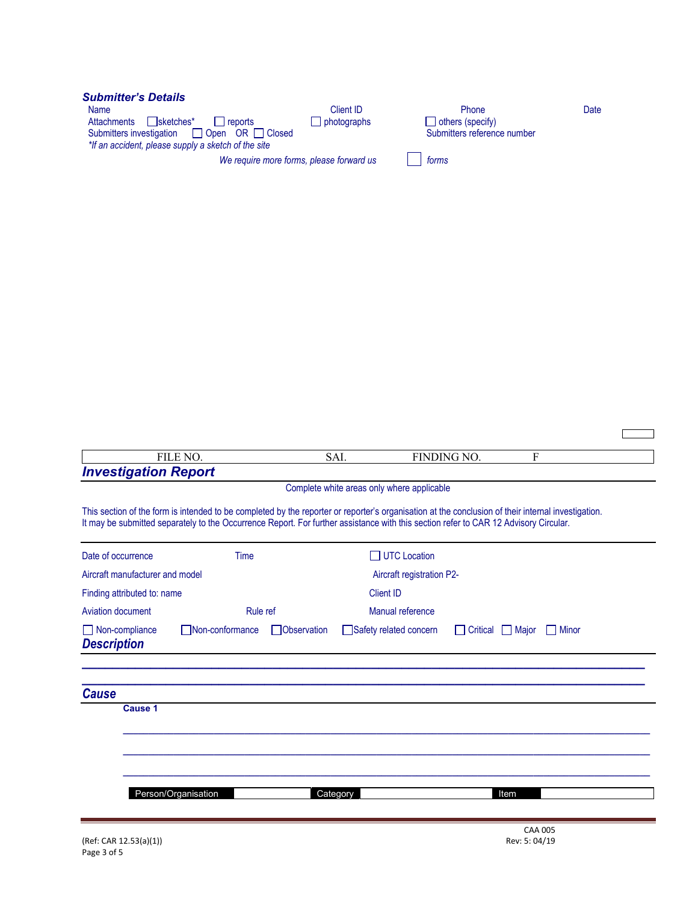| <b>Submitter's Details</b><br><b>Name</b><br>$\Box$ sketches*<br>Attachments<br>l reports | Client ID<br>photographs | Phone<br>$\Box$ others (specify) | Date |
|-------------------------------------------------------------------------------------------|--------------------------|----------------------------------|------|
| 1 Open OR □ Closed<br>$\Box$<br>Submitters investigation                                  |                          | Submitters reference number      |      |
| *If an accident, please supply a sketch of the site                                       |                          |                                  |      |
| We require more forms, please forward us                                                  |                          | forms                            |      |

| FILE NO.                                    |                 | SAI.        |                                                                                                                                                                                                                                                                                            | FINDING NO.    | F            |  |  |
|---------------------------------------------|-----------------|-------------|--------------------------------------------------------------------------------------------------------------------------------------------------------------------------------------------------------------------------------------------------------------------------------------------|----------------|--------------|--|--|
| <b>Investigation Report</b>                 |                 |             |                                                                                                                                                                                                                                                                                            |                |              |  |  |
|                                             |                 |             | Complete white areas only where applicable                                                                                                                                                                                                                                                 |                |              |  |  |
|                                             |                 |             | This section of the form is intended to be completed by the reporter or reporter's organisation at the conclusion of their internal investigation.<br>It may be submitted separately to the Occurrence Report. For further assistance with this section refer to CAR 12 Advisory Circular. |                |              |  |  |
| Date of occurrence                          | Time            |             | UTC Location                                                                                                                                                                                                                                                                               |                |              |  |  |
| Aircraft manufacturer and model             |                 |             | Aircraft registration P2-                                                                                                                                                                                                                                                                  |                |              |  |  |
| Finding attributed to: name                 |                 |             | <b>Client ID</b>                                                                                                                                                                                                                                                                           |                |              |  |  |
| <b>Aviation document</b>                    | Rule ref        |             | Manual reference                                                                                                                                                                                                                                                                           |                |              |  |  |
| $\Box$ Non-compliance<br><b>Description</b> | Non-conformance | Observation | Safety related concern                                                                                                                                                                                                                                                                     | Critical Major | <b>Ninor</b> |  |  |
| <b>Cause</b><br><b>Cause 1</b>              |                 |             |                                                                                                                                                                                                                                                                                            |                |              |  |  |
|                                             |                 |             |                                                                                                                                                                                                                                                                                            |                |              |  |  |
|                                             |                 |             |                                                                                                                                                                                                                                                                                            |                |              |  |  |
|                                             |                 |             |                                                                                                                                                                                                                                                                                            |                |              |  |  |
| Person/Organisation                         |                 | Category    |                                                                                                                                                                                                                                                                                            |                | Item         |  |  |
|                                             |                 |             |                                                                                                                                                                                                                                                                                            |                |              |  |  |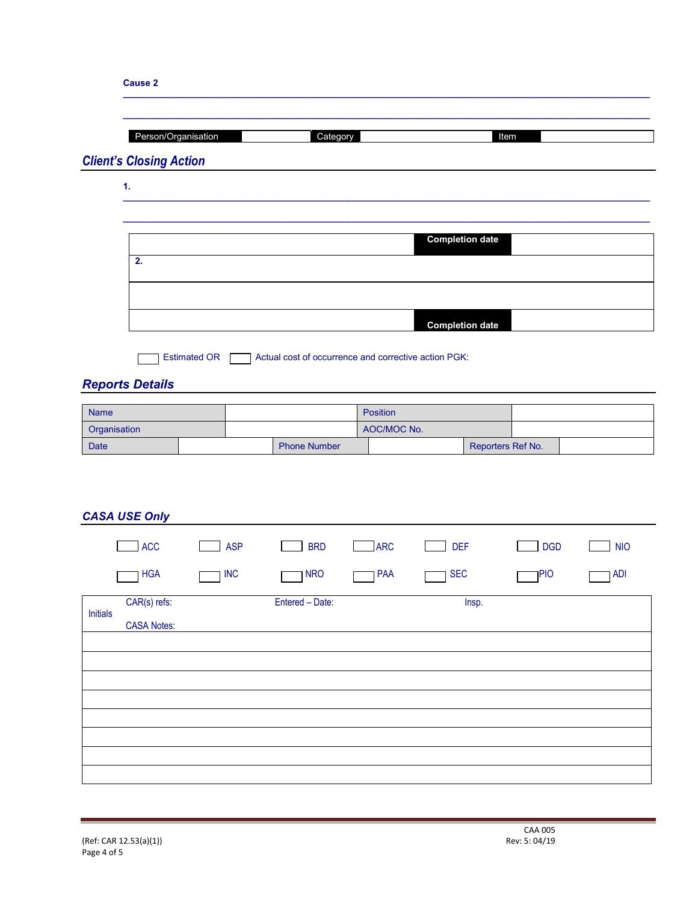|                                         | Person/Organisation | Category                                             |                         |                        | Item              |            |
|-----------------------------------------|---------------------|------------------------------------------------------|-------------------------|------------------------|-------------------|------------|
| <b>Client's Closing Action</b><br>1.    |                     |                                                      |                         |                        |                   |            |
|                                         |                     |                                                      |                         |                        |                   |            |
|                                         |                     |                                                      |                         | <b>Completion date</b> |                   |            |
| 2.                                      |                     |                                                      |                         |                        |                   |            |
|                                         |                     |                                                      |                         |                        |                   |            |
|                                         |                     |                                                      |                         | <b>Completion date</b> |                   |            |
|                                         |                     |                                                      |                         |                        |                   |            |
|                                         | <b>Estimated OR</b> | Actual cost of occurrence and corrective action PGK: |                         |                        |                   |            |
| <b>Reports Details</b>                  |                     |                                                      |                         |                        |                   |            |
|                                         |                     |                                                      |                         |                        |                   |            |
|                                         |                     |                                                      |                         |                        |                   |            |
|                                         |                     |                                                      | Position<br>AOC/MOC No. |                        |                   |            |
| Name<br>Organisation<br><b>Date</b>     |                     | <b>Phone Number</b>                                  |                         |                        | Reporters Ref No. |            |
|                                         |                     |                                                      |                         |                        |                   |            |
|                                         |                     |                                                      |                         |                        |                   |            |
|                                         |                     |                                                      |                         |                        |                   |            |
|                                         |                     |                                                      |                         |                        |                   |            |
| <b>ACC</b>                              | <b>ASP</b>          | <b>BRD</b>                                           | <b>ARC</b>              | <b>DEF</b>             | <b>DGD</b>        | <b>NIO</b> |
| <b>HGA</b>                              | <b>INC</b>          | <b>NRO</b>                                           | PAA                     | <b>SEC</b>             | <b>PIO</b>        | <b>ADI</b> |
| CAR(s) refs:                            |                     | Entered - Date:                                      |                         | Insp.                  |                   |            |
| <b>CASA USE Only</b><br><b>Initials</b> |                     |                                                      |                         |                        |                   |            |
| <b>CASA Notes:</b>                      |                     |                                                      |                         |                        |                   |            |
|                                         |                     |                                                      |                         |                        |                   |            |
|                                         |                     |                                                      |                         |                        |                   |            |